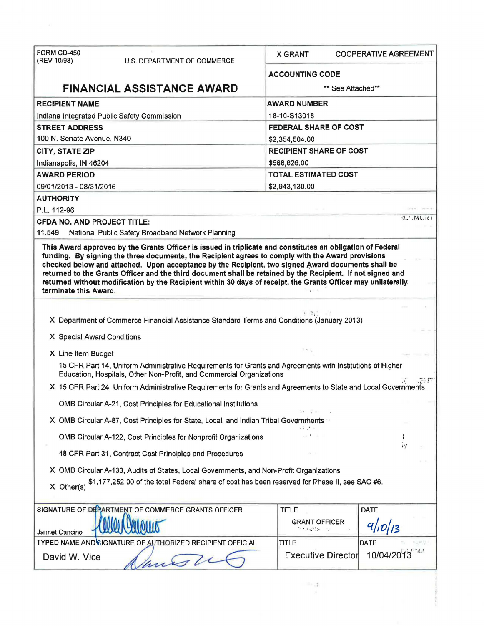| FORM CD-450                                                                                                                                                                       |                                |                              |  |
|-----------------------------------------------------------------------------------------------------------------------------------------------------------------------------------|--------------------------------|------------------------------|--|
| (REV 10/98)<br>U.S. DEPARTMENT OF COMMERCE                                                                                                                                        | <b>X GRANT</b>                 | <b>COOPERATIVE AGREEMENT</b> |  |
|                                                                                                                                                                                   | <b>ACCOUNTING CODE</b>         |                              |  |
| <b>FINANCIAL ASSISTANCE AWARD</b>                                                                                                                                                 | ** See Attached**              |                              |  |
| <b>RECIPIENT NAME</b>                                                                                                                                                             | <b>AWARD NUMBER</b>            |                              |  |
| Indiana Integrated Public Safety Commission                                                                                                                                       | 18-10-S13018                   |                              |  |
| <b>STREET ADDRESS</b>                                                                                                                                                             | <b>FEDERAL SHARE OF COST</b>   |                              |  |
| 100 N. Senate Avenue, N340                                                                                                                                                        | \$2,354,504.00                 |                              |  |
| <b>CITY, STATE ZIP</b>                                                                                                                                                            | <b>RECIPIENT SHARE OF COST</b> |                              |  |
| Indianapolis, IN 46204                                                                                                                                                            | \$588,626.00                   |                              |  |
| <b>AWARD PERIOD</b>                                                                                                                                                               | <b>TOTAL ESTIMATED COST</b>    |                              |  |
| 09/01/2013 - 08/31/2016                                                                                                                                                           | \$2,943,130.00                 |                              |  |
| <b>AUTHORITY</b>                                                                                                                                                                  |                                |                              |  |
| P.L. 112-96                                                                                                                                                                       |                                |                              |  |
| <b>CFDA NO, AND PROJECT TITLE:</b>                                                                                                                                                |                                | くとせ 小猪 にいず                   |  |
| 11.549<br>National Public Safety Broadband Network Planning                                                                                                                       |                                |                              |  |
| returned without modification by the Recipient within 30 days of receipt, the Grants Officer may unilaterally<br>terminate this Award.                                            |                                |                              |  |
| X Department of Commerce Financial Assistance Standard Terms and Conditions (January 2013)                                                                                        |                                |                              |  |
| X Special Award Conditions                                                                                                                                                        |                                |                              |  |
| X Line Item Budget                                                                                                                                                                |                                |                              |  |
| 15 CFR Part 14, Uniform Administrative Requirements for Grants and Agreements with Institutions of Higher<br>Education, Hospitals, Other Non-Profit, and Commercial Organizations |                                |                              |  |
| X 15 CFR Part 24, Uniform Administrative Requirements for Grants and Agreements to State and Local Governments                                                                    |                                | 定尺寸                          |  |
| OMB Circular A-21, Cost Principles for Educational Institutions                                                                                                                   |                                |                              |  |
|                                                                                                                                                                                   |                                |                              |  |
| X OMB Circular A-87, Cost Principles for State, Local, and Indian Tribal Governments                                                                                              |                                |                              |  |
| OMB Circular A-122, Cost Principles for Nonprofit Organizations                                                                                                                   |                                |                              |  |
| 48 CFR Part 31, Contract Cost Principles and Procedures                                                                                                                           |                                | $\tilde{\nu}$                |  |
| X OMB Circular A-133, Audits of States, Local Governments, and Non-Profit Organizations                                                                                           |                                |                              |  |
| \$1,177,252.00 of the total Federal share of cost has been reserved for Phase II, see SAC #6.                                                                                     |                                |                              |  |
| $X$ Other(s)                                                                                                                                                                      |                                |                              |  |
| SIGNATURE OF DERARTMENT OF COMMERCE GRANTS OFFICER                                                                                                                                | <b>TITLE</b>                   | <b>DATE</b>                  |  |
|                                                                                                                                                                                   | <b>GRANT OFFICER</b>           |                              |  |
|                                                                                                                                                                                   | 57 개념일은                        | 9/10/13                      |  |
|                                                                                                                                                                                   |                                |                              |  |
| Jannet Cancino<br>TYPED NAME AND SIGNATURE OF AUTHORIZED RECIPIENT OFFICIAL                                                                                                       | TITLE                          | <b>DATE</b>                  |  |
| David W. Vice<br>anos 2                                                                                                                                                           | <b>Executive Director</b>      | 10/04/2013                   |  |

 $\pm$ 

 $\sim$